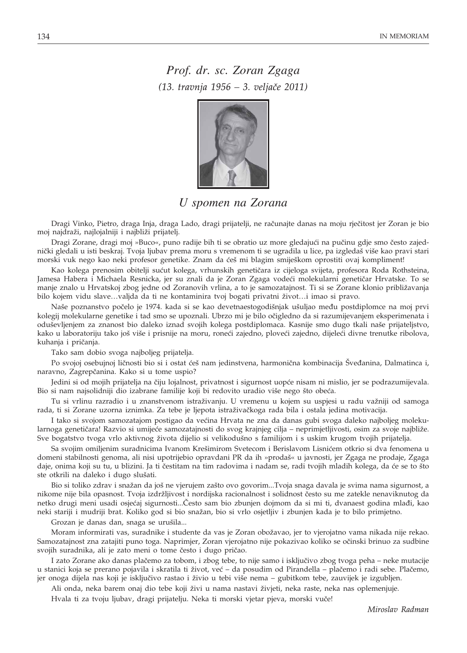*Prof. dr. sc. Zoran Zgaga (13. travnja 1956 – 3. velja~e 2011)*



## *U spomen na Zorana*

Dragi Vinko, Pietro, draga Inja, draga Lado, dragi prijatelji, ne računajte danas na moju rječitost jer Zoran je bio moj najdraži, najlojalniji i najbliži prijatelj.

Dragi Zorane, dragi moj »Buco«, puno radije bih ti se obratio uz more gledajući na pučinu gdje smo često zajednički gledali u isti beskraj. Tvoja ljubav prema moru s vremenom ti se ugradila u lice, pa izgledaš više kao pravi stari morski vuk nego kao neki profesor genetike. Znam da ćeš mi blagim smiješkom oprostiti ovaj kompliment!

Kao kolega prenosim obitelji sućut kolega, vrhunskih genetičara iz cijeloga svijeta, profesora Roda Rothsteina, Jamesa Habera i Michaela Resnicka, jer su znali da je Zoran Zgaga vodeći molekularni genetičar Hrvatske. To se manje znalo u Hrvatskoj zbog jedne od Zoranovih vrlina, a to je samozatajnost. Ti si se Zorane klonio približavanja bilo kojem vidu slave...valjda da ti ne kontaminira tvoj bogati privatni život...i imao si pravo.

Naše poznanstvo počelo je 1974. kada si se kao devetnaestogodišnjak ušuljao među postdiplomce na moj prvi kolegij molekularne genetike i tad smo se upoznali. Ubrzo mi je bilo očigledno da si razumijevanjem eksperimenata i oduševljenjem za znanost bio daleko iznad svojih kolega postdiplomaca. Kasnije smo dugo tkali naše prijateljstvo, kako u laboratoriju tako još više i prisnije na moru, roneći zajedno, ploveći zajedno, dijeleći divne trenutke ribolova, kuhanja i pričanja.

Tako sam dobio svoga najboljeg prijatelja.

Po svojoj osebujnoj ličnosti bio si i ostat ćeš nam jedinstvena, harmonična kombinacija Šveđanina, Dalmatinca i, naravno, Zagrepčanina. Kako si u tome uspio?

Jedini si od mojih prijatelja na čiju lojalnost, privatnost i sigurnost uopće nisam ni mislio, jer se podrazumijevala. Bio si nam najsolidniji dio izabrane familije koji bi redovito uradio više nego što obeća.

Tu si vrlinu razradio i u znanstvenom istraživanju. U vremenu u kojem su uspjesi u radu važniji od samoga rada, ti si Zorane uzorna iznimka. Za tebe je ljepota istraživačkoga rada bila i ostala jedina motivacija.

I tako si svojom samozatajom postigao da većina Hrvata ne zna da danas gubi svoga daleko najboljeg molekularnoga genetičara! Razvio si umijeće samozatajnosti do svog krajnjeg cilja – neprimjetljivosti, osim za svoje najbliže. Sve bogatstvo tvoga vrlo aktivnog života dijelio si velikodušno s familijom i s uskim krugom tvojih prijatelja.

Sa svojim omiljenim suradnicima Ivanom Krešimirom Svetecom i Berislavom Lisnićem otkrio si dva fenomena u domeni stabilnosti genoma, ali nisi upotrijebio opravdani PR da ih »prodaš« u javnosti, jer Zgaga ne prodaje, Zgaga daje, onima koji su tu, u blizini. Ja ti čestitam na tim radovima i nadam se, radi tvojih mladih kolega, da će se to što ste otkrili na daleko i dugo slušati.

Bio si toliko zdrav i snažan da još ne vjerujem zašto ovo govorim...Tvoja snaga davala je svima nama sigurnost, a nikome nije bila opasnost. Tvoja izdržljivost i nordijska racionalnost i solidnost često su me zatekle nenaviknutog da netko drugi meni usadi osjećaj sigurnosti...Često sam bio zbunjen dojmom da si mi ti, dvanaest godina mlađi, kao neki stariji i mudriji brat. Koliko god si bio snažan, bio si vrlo osjetljiv i zbunjen kada je to bilo primjetno.

Grozan je danas dan, snaga se urušila...

Moram informirati vas, suradnike i studente da vas je Zoran obožavao, jer to vjerojatno vama nikada nije rekao. Samozatajnost zna zatajiti puno toga. Naprimjer, Zoran vjerojatno nije pokazivao koliko se očinski brinuo za sudbine svojih suradnika, ali je zato meni o tome često i dugo pričao.

I zato Zorane ako danas plačemo za tobom, i zbog tebe, to nije samo i isključivo zbog tvoga peha – neke mutacije u stanici koja se prerano pojavila i skratila ti život, već – da posudim od Pirandella – plačemo i radi sebe. Plačemo, jer onoga dijela nas koji je isključivo rastao i živio u tebi više nema – gubitkom tebe, zauvijek je izgubljen.

Ali onda, neka barem onaj dio tebe koji živi u nama nastavi živjeti, neka raste, neka nas oplemenjuje.

Hvala ti za tvoju ljubav, dragi prijatelju. Neka ti morski vjetar pjeva, morski vuče!